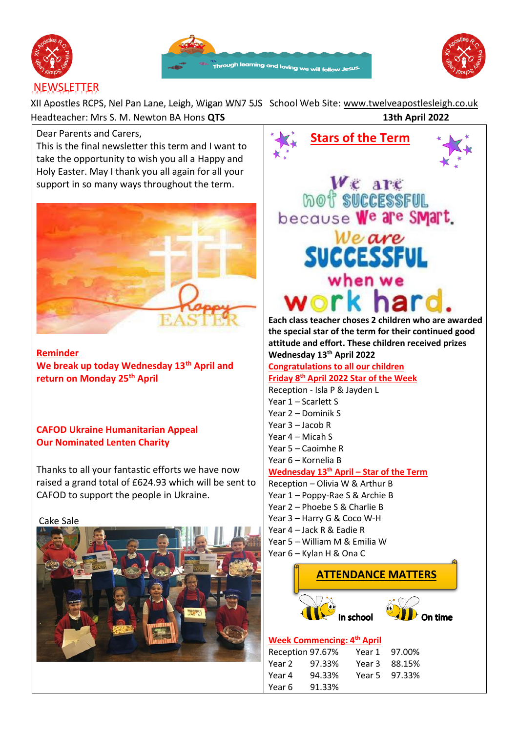





XII Apostles RCPS, Nel Pan Lane, Leigh, Wigan WN7 5JS School Web Site: [www.twelveapostlesleigh.co.uk](http://www.twelveapostlesleigh.co.uk/)  Headteacher: Mrs S. M. Newton BA Hons **QTS 13th April 2022**

Dear Parents and Carers,

This is the final newsletter this term and I want to take the opportunity to wish you all a Happy and Holy Easter. May I thank you all again for all your support in so many ways throughout the term.



**Reminder We break up today Wednesday 13th April and return on Monday 25th April** 

# **CAFOD Ukraine Humanitarian Appeal Our Nominated Lenten Charity**

Thanks to all your fantastic efforts we have now raised a grand total of £624.93 which will be sent to CAFOD to support the people in Ukraine.

Cake Sale





#### **Week Commencing: 4 th April**

| Reception 97.67% |        | Year 1 | 97.00%        |
|------------------|--------|--------|---------------|
| Year 2           | 97.33% |        | Year 3 88.15% |
| Year 4           | 94.33% |        | Year 5 97.33% |
| Year 6           | 91.33% |        |               |

In school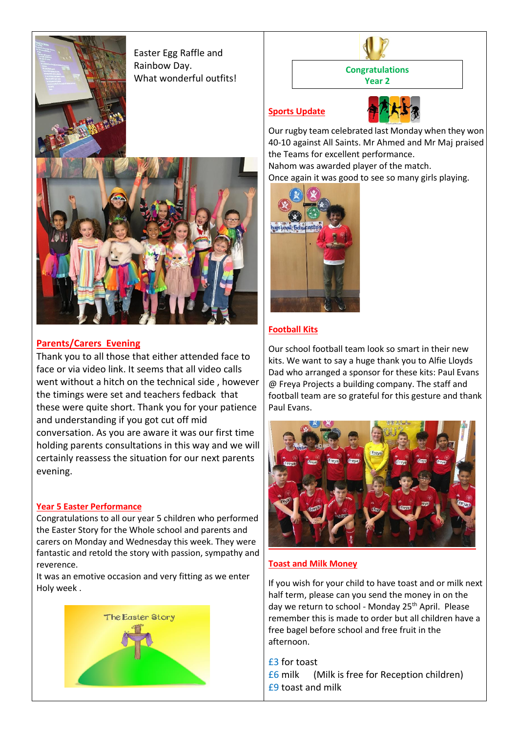



## **Parents/Carers Evening**

Thank you to all those that either attended face to face or via video link. It seems that all video calls went without a hitch on the technical side , however the timings were set and teachers fedback that these were quite short. Thank you for your patience and understanding if you got cut off mid conversation. As you are aware it was our first time holding parents consultations in this way and we will certainly reassess the situation for our next parents evening.

#### **Year 5 Easter Performance**

Congratulations to all our year 5 children who performed the Easter Story for the Whole school and parents and carers on Monday and Wednesday this week. They were fantastic and retold the story with passion, sympathy and reverence.

It was an emotive occasion and very fitting as we enter Holy week .



**Congratulations Year 2**

## **Sports Update**



Our rugby team celebrated last Monday when they won 40-10 against All Saints. Mr Ahmed and Mr Maj praised the Teams for excellent performance. Nahom was awarded player of the match.

Once again it was good to see so many girls playing.



## **Football Kits**

Our school football team look so smart in their new kits. We want to say a huge thank you to Alfie Lloyds Dad who arranged a sponsor for these kits: Paul Evans @ Freya Projects a building company. The staff and football team are so grateful for this gesture and thank Paul Evans.



#### **Toast and Milk Money**

If you wish for your child to have toast and or milk next half term, please can you send the money in on the day we return to school - Monday 25<sup>th</sup> April. Please remember this is made to order but all children have a free bagel before school and free fruit in the afternoon.

£3 for toast £6 milk (Milk is free for Reception children) £9 toast and milk